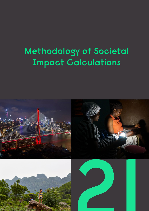# **Methodology of Societal Impact Calculations**

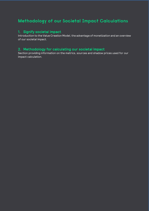### **Methodology of our Societal Impact Calculations**

### 1. Signify societal impact

Introduction to the Value Creation Model, the advantage of monetization and an overview of our societal impact.

### 2. Methodology for calculating our societal impact

Section providing information on the metrics, sources and shadow prices used for our impact calculation.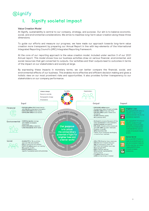# **Signify 1. Signify societal impact**

#### Value Creation Model

At Signify, sustainability is central to our company, strategy, and purpose. Our aim is to balance economic, social, and environmental considerations. We strive to maximize long-term value-creation along these three dimensions.

To guide our efforts and measure our progress, we have made our approach towards long-term value creation more transparent by preparing our Annual Report in line with key-elements of the International Integrated Reporting Council's (IIRC) Integrated Reporting framework.

At the core of our reporting approach is the value creation model, included under section 3 of our 2021 Annual report. This model shows how our business activities draw on various financial, environmental, and social resources that get converted to outputs. Our activities and their outputs lead to outcomes in terms of the impact on our stakeholders and society at large.

By expressing these impacts in monetary terms, we can better compare the financial, social, and environmental effects of our business. This enables more effective and efficient decision making and gives a holistic view on our most prominent risks and opportunities. It also provides further transparency to our stakeholders on our company performance.

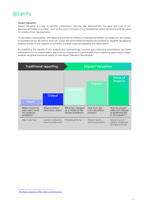

#### Impact Valuation

Impact valuation is a way to identify, understand, improve, and demonstrate the value and cost of our business activities on society - such as the cost to society of our operational carbon emissions and the value to society of our tax payments.

To facilitate comparability, the impacts and external effects of business activities are measured and valued in monetary terms. By nature, financial, social, and environmental impacts are positive or negative. By applying shadow prices to the impacts of activities, societal costs and benefits are determined.

By publishing the results of our analysis and methodology, context and underlying assumptions are made transparent to our stakeholders. We strive to contribute to a global shift from traditional reporting to impact analysis via global standards based on the Impact Valuation Roundtable<sup>[1](#page-3-0)</sup>.



<span id="page-3-0"></span><sup>&</sup>lt;sup>1</sup> [IVR\\_Impact\\_Valuation\\_White\\_Paper.pdf \(wbcsd.org\)](https://docs.wbcsd.org/2017/05/IVR_Impact_Valuation_White_Paper.pdf#:%7E:text=Founded%20in%202015,%20the%20Impact%20Valuation%20Roundtable%20(IVR),and%20operationalize%20the%20emerging%20field%20of%20Impact%20Valuation.)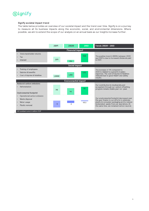## **Signify**

#### Signify societal impact trend

The table below provides an overview of our societal impact and the trend over time. Signify is on a journey to measure all its business impacts along the economic, social, and environmental dimensions. Where possible, we aim to extend the scope of our analysis on an annual basis as our insights increase further.

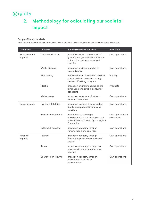### **Signify**

### **2. Methodology for calculating our societal impact**

#### Scope of impact analysis

The table below shows which metrics were included in our analysis to determine societal impacts.

| <b>Dimension</b>         | Indicator             | Summarized consideration                                                                                               | <b>Boundary</b>                 |
|--------------------------|-----------------------|------------------------------------------------------------------------------------------------------------------------|---------------------------------|
| Environmental<br>impacts | Carbon emissions      | Impact on climate due to emitted<br>greenhouse gas emissions in scope<br>1, 2 and 3 - business travel and<br>logistics | Own operations                  |
|                          | Waste disposal        | Impact on environment due to<br>waste disposal                                                                         | Own operations                  |
|                          | Biodiversity          | Biodiversity and ecosystem services<br>conserved and restored through<br>carbon offsetting program                     | Society                         |
|                          | Plastic               | Impact on environment due to the<br>elimination of plastic in consumer<br>packaging                                    | Products                        |
|                          | Water usage           | Impact on water scarcity due to<br>water consumption                                                                   | Own operations                  |
| Social impacts           | Injuries & fatalities | Impact on workers & communities<br>due to occupational injuries and<br>fatalities                                      | Own operations                  |
|                          | Training investments  | Impact due to training &<br>development of our employees and<br>entrepreneurs trained by the Signify<br>Foundation     | Own operations &<br>value chain |
|                          | Salaries & benefits   | Impact on economy through<br>remuneration of employees                                                                 | Own operations                  |
| Financial<br>impacts     | Interest              | Impact on economy through<br>interest payments to suppliers of<br>capital                                              | Own operations                  |
|                          | Taxes                 | Impact on economy through tax<br>payments in countries where we<br>operate                                             | Own operations                  |
|                          | Shareholder returns   | Impact on economy through<br>shareholder returns to<br>shareholders                                                    | Own operations                  |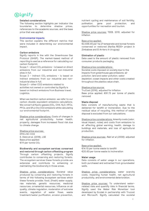### (S)ignify

#### Detailed considerations

The following section highlights per indicator the boundaries to determine shadow prices, references to the academic sources, and the base price that was applied.

#### Environmental impacts

This section explains the different metrics that were included in determining our environmental impact.

#### Carbon emissions

Signify reports in line with the Greenhouse Gas Protocol (GHGP). The market-based method of reporting is used as a reference for calculating our carbon footprint.

Scope  $1$  – direct  $CO_2$  emissions – is based on direct emissions from our industrial and non-industrial sites in full.

Scope  $2$  – indirect CO<sub>2</sub> emissions – is based on indirect emissions from our industrial and nonindustrial sites in full.

Scope 3 – other CO2 emissions related to

activities not owned or controlled by Signify is based on indirect emissions from Business travel, Logistics.

When we mention carbon emission, we refer to our carbon dioxide equivalent emissions calculations. We convert all Kyoto gasses  $(CO<sub>2</sub>, CH4, N<sub>2</sub>O, HFCs, M<sub>2</sub>O)$ PFCs, and  $SF_6$ ) into CO2 emissions while calculating our environmental footprint.

Shadow price considerations: Costs of changes in net agricultural productivity, human health, property, damages from increased flood risk due to climate change.

#### Shadow price sources: [EPA's](https://www.oecd.org/env/cc/37321411.pdf) SC-CO2 S. Dietz et al. (2018), LSE Base price applied: €111 per tonne CO2

Biodiversity and ecosystem services conserved and restored through carbon offsetting program Through carbon offsetting projects, Signify contributes to conserving and restoring forests. The ecosystem services these forests provide are extensive and contribute to enhancing or maintaining the biodiversity in those areas.

Shadow price considerations: Societal value produced by conserving and restoring forests in terms of the following ecosystem services which these forests provide: food, (fresh) water supply, raw materials, genetic resources, medicinal resources, ornamental resources, influence on air quality, climate regulation, moderation of extreme events, regulation of water flows, waste treatment/water purification, erosion prevention, nutrient cycling and maintenance of soil fertility, pollination, gene pool protection, and opportunities for recreation and tourism.

Shadow price sources: TEEB, 2010, adjusted for inflation

#### Base price applied:

€2,648.45 per ha of temperate and boreal forests conserved or restored (Kariba REDD+ project in Zimbabwe and El Arriero in Uruguay)

#### Elimination of plastic

Data used is the amount of plastic removed from consumer products packaging.

Shadow price considerations:

Societal costs imposed on society due to the impacts from greenhouse gas emissions; air pollution; land and water pollution; water depletion; ocean impacts and other costs created throughout the plastics value chain.

#### Shadow price source:

TruCost (2016), adjusted for inflation Base price applied: €91.73 per tonne of plastic removed

#### Waste disposal

Data consists of manufacturing waste that is delivered for landfill or incineration. Due to the residual value of recycling, this method of waste disposal is excluded from our calculations.

Shadow price considerations: Amenity costs (odor, visual impact, noise) and costs from emissions to air affecting global warming, health, damage to buildings and materials, and loss of agricultural production.

Shadow price sources: Rabl et al (2008), adjusted for inflation.

#### Base price applied:

€14.10 per tonne waste to landfill €20.63 per tonne waste to incineration

#### Water usage

Data consists of water usage in our operations, both purchased and extracted from groundwater wells.

Shadow price considerations: water scarcity costs, impacting human health, net agricultural productivity, and environmental deterioration.

Shadow price sources: To understand waterrelated risks and quantify risks in financial terms, Signify used the Water Risk Monetizer tool developed by Ecolab in partnership with Trucost and Microsoft. Signify calculated the societal